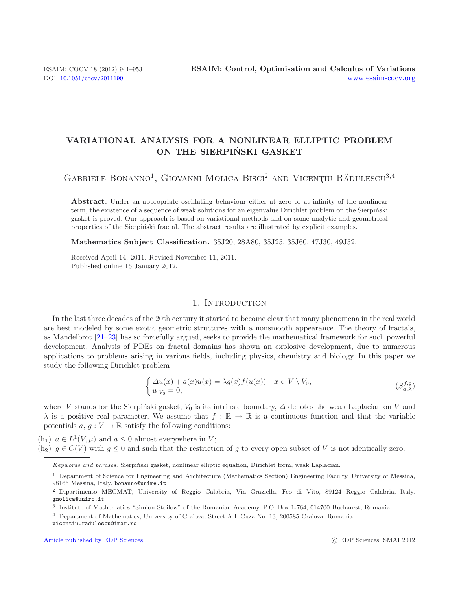# **VARIATIONAL ANALYSIS FOR A NONLINEAR ELLIPTIC PROBLEM ON THE SIERPINSKI GASKET ´**

GABRIELE BONANNO<sup>1</sup>, GIOVANNI MOLICA BISCI<sup>2</sup> AND VICENȚIU RĂDULESCU<sup>3,4</sup>

Abstract. Under an appropriate oscillating behaviour either at zero or at infinity of the nonlinear term, the existence of a sequence of weak solutions for an eigenvalue Dirichlet problem on the Sierpiński gasket is proved. Our approach is based on variational methods and on some analytic and geometrical properties of the Sierpiński fractal. The abstract results are illustrated by explicit examples.

<span id="page-0-0"></span>**Mathematics Subject Classification.** 35J20, 28A80, 35J25, 35J60, 47J30, 49J52.

Received April 14, 2011. Revised November 11, 2011. Published online 16 January 2012.

#### 1. INTRODUCTION

In the last three decades of the 20th century it started to become clear that many phenomena in the real world are best modeled by some exotic geometric structures with a nonsmooth appearance. The theory of fractals, as Mandelbrot [\[21](#page-12-0)[–23](#page-12-1)] has so forcefully argued, seeks to provide the mathematical framework for such powerful development. Analysis of PDEs on fractal domains has shown an explosive development, due to numerous applications to problems arising in various fields, including physics, chemistry and biology. In this paper we study the following Dirichlet problem

$$
\begin{cases}\n\Delta u(x) + a(x)u(x) = \lambda g(x)f(u(x)) & x \in V \setminus V_0, \\
u|_{V_0} = 0,\n\end{cases} \tag{S_{a,\lambda}^{f,g}}
$$

where V stands for the Sierpiński gasket,  $V_0$  is its intrinsic boundary,  $\Delta$  denotes the weak Laplacian on V and  $\lambda$  is a positive real parameter. We assume that  $f : \mathbb{R} \to \mathbb{R}$  is a continuous function and that the variable potentials  $a, g: V \to \mathbb{R}$  satisfy the following conditions:

(h<sub>1</sub>)  $a \in L^1(V, \mu)$  and  $a \leq 0$  almost everywhere in V;

(h<sub>2</sub>)  $g \in C(V)$  with  $g \le 0$  and such that the restriction of g to every open subset of V is not identically zero.

Keywords and phrases. Sierpiński gasket, nonlinear elliptic equation, Dirichlet form, weak Laplacian.

<sup>1</sup> Department of Science for Engineering and Architecture (Mathematics Section) Engineering Faculty, University of Messina, 98166 Messina, Italy. bonanno@unime.it

<sup>2</sup> Dipartimento MECMAT, University of Reggio Calabria, Via Graziella, Feo di Vito, 89124 Reggio Calabria, Italy. gmolica@unirc.it

<sup>3</sup> Institute of Mathematics "Simion Stoilow" of the Romanian Academy, P.O. Box 1-764, 014700 Bucharest, Romania.

<sup>4</sup> Department of Mathematics, University of Craiova, Street A.I. Cuza No. 13, 200585 Craiova, Romania.

vicentiu.radulescu@imar.ro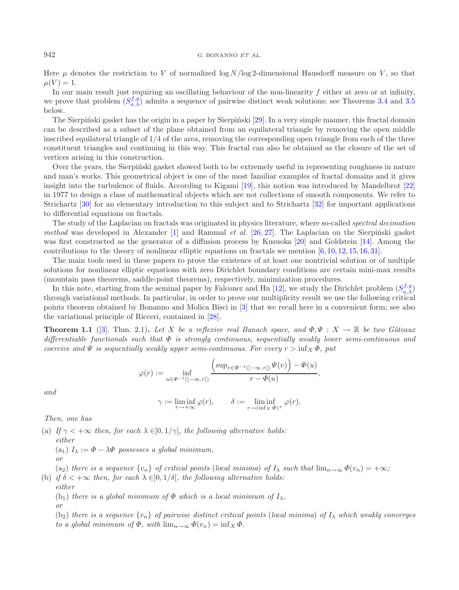#### 942 G. BONANNO *ET AL.*

Here  $\mu$  denotes the restriction to V of normalized log  $N/\log 2$ -dimensional Hausdorff measure on V, so that  $\mu(V) = 1.$ 

In our main result just requiring an oscillating behaviour of the non-linearity  $f$  either at zero or at infinity, we prove that problem  $(S_{a,\lambda}^{f,g})$  admits a sequence of pairwise distinct weak solutions; see Theorems [3.4](#page-6-0) and [3.5](#page-8-0) below.

The Sierpiński gasket has the origin in a paper by Sierpiński [\[29](#page-12-2)]. In a very simple manner, this fractal domain can be described as a subset of the plane obtained from an equilateral triangle by removing the open middle inscribed equilateral triangle of 1/4 of the area, removing the corresponding open triangle from each of the three constituent triangles and continuing in this way. This fractal can also be obtained as the closure of the set of vertices arising in this construction.

Over the years, the Sierpinski gasket showed both to be extremely useful in representing roughness in nature and man's works. This geometrical object is one of the most familiar examples of fractal domains and it gives insight into the turbulence of fluids. According to Kigami [\[19\]](#page-12-3), this notion was introduced by Mandelbrot [\[22\]](#page-12-4) in 1977 to design a class of mathematical objects which are not collections of smooth components. We refer to Strichartz [\[30\]](#page-12-5) for an elementary introduction to this subject and to Strichartz [\[32\]](#page-12-6) for important applications to differential equations on fractals.

<span id="page-1-0"></span>The study of the Laplacian on fractals was originated in physics literature, where so-called *spectral decimation method* was developed in Alexander [\[1](#page-12-7)] and Rammal *et al.* [\[26](#page-12-8), [27\]](#page-12-9). The Laplacian on the Sierpinski gasket was first constructed as the generator of a diffusion process by Kusuoka [\[20\]](#page-12-10) and Goldstein [\[14\]](#page-12-11). Among the contributions to the theory of nonlinear elliptic equations on fractals we mention [\[6](#page-12-12), [10,](#page-12-13) [12,](#page-12-14) [15,](#page-12-15) [16,](#page-12-16) [31\]](#page-12-17).

The main tools used in these papers to prove the existence of at least one nontrivial solution or of multiple solutions for nonlinear elliptic equations with zero Dirichlet boundary conditions are certain mini-max results (mountain pass theorems, saddle-point theorems), respectively, minimization procedures.

In this note, starting from the seminal paper by Falconer and Hu [\[12](#page-12-14)], we study the Dirichlet problem  $(S_{a,\lambda}^{f,g})$ through variational methods. In particular, in order to prove our multiplicity result we use the following critical points theorem obtained by Bonanno and Molica Bisci in [\[3\]](#page-12-18) that we recall here in a convenient form; see also the variational principle of Ricceri, contained in [\[28\]](#page-12-19).

**Theorem 1.1** ([\[3\]](#page-12-18), Thm. 2.1)**.** *Let* X *be a reflexive real Banach space, and*  $\Phi, \Psi : X \to \mathbb{R}$  *be two Gâteaux differentiable functionals such that* Φ *is strongly continuous, sequentially weakly lower semi-continuous and coercive and*  $\Psi$  *is sequentially weakly upper semi-continuous. For every*  $r > \inf_X \Phi$ , put

$$
\varphi(r) := \inf_{u \in \Phi^{-1}(]-\infty, r[)} \frac{\left(\sup_{v \in \Phi^{-1}(]-\infty, r[)} \Psi(v)\right) - \Psi(u)}{r - \Phi(u)},
$$

*and*

$$
\gamma := \liminf_{r \to +\infty} \varphi(r), \qquad \delta := \liminf_{r \to (\inf_X \Phi)^+} \varphi(r).
$$

*Then, one has*

(a) If  $\gamma < +\infty$  then, for each  $\lambda \in ]0, 1/\gamma[$ , the following alternative holds:

*either* (a<sub>1</sub>)  $I_{\lambda} := \Phi - \lambda \Psi$  possesses a global minimum, *or*

(a<sub>2</sub>) *there is a sequence*  ${v_n}$  *of critical points* (*local minima*) *of*  $I_\lambda$  *such that*  $\lim_{n\to\infty} \Phi(v_n) = +\infty$ *;* (b) *if*  $\delta$  < + $\infty$  *then, for each*  $\lambda \in ]0, 1/\delta]$ *, the following alternative holds:* 

*either*

(b<sub>1</sub>) *there is a global minimum of*  $\Phi$  *which is a local minimum of*  $I_{\lambda}$ *, or*

(b<sub>2</sub>) *there is a sequence*  $\{v_n\}$  *of pairwise distinct critical points* (*local minima*) *of*  $I_\lambda$  *which weakly converges to a global minimum of*  $\Phi$ *, with*  $\lim_{n\to\infty} \Phi(v_n) = \inf_X \Phi$ *.*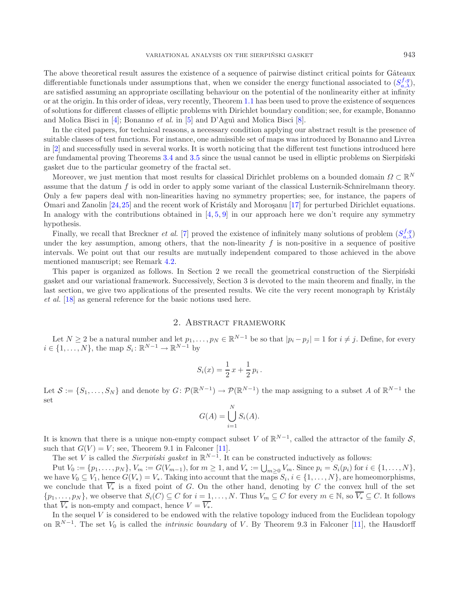The above theoretical result assures the existence of a sequence of pairwise distinct critical points for Gâteaux differentiable functionals under assumptions that, when we consider the energy functional associated to  $(S_{a,\lambda}^{f,g})$ , are satisfied assuming an appropriate oscillating behaviour on the potential of the nonlinearity either at infinity or at the origin. In this order of ideas, very recently, Theorem [1.1](#page-1-0) has been used to prove the existence of sequences of solutions for different classes of elliptic problems with Dirichlet boundary condition; see, for example, Bonanno and Molica Bisci in [\[4](#page-12-20)]; Bonanno *et al.* in [\[5\]](#page-12-21) and D'Aguì and Molica Bisci [\[8\]](#page-12-22).

In the cited papers, for technical reasons, a necessary condition applying our abstract result is the presence of suitable classes of test functions. For instance, one admissible set of maps was introduced by Bonanno and Livrea in [\[2\]](#page-12-23) and successfully used in several works. It is worth noticing that the different test functions introduced here are fundamental proving Theorems [3.4](#page-6-0) and [3.5](#page-8-0) since the usual cannot be used in elliptic problems on Sierpiński gasket due to the particular geometry of the fractal set.

Moreover, we just mention that most results for classical Dirichlet problems on a bounded domain  $\Omega \subset \mathbb{R}^N$ assume that the datum f is odd in order to apply some variant of the classical Lusternik-Schnirelmann theory. Only a few papers deal with non-linearities having no symmetry properties; see, for instance, the papers of Omari and Zanolin [\[24](#page-12-24)[,25\]](#page-12-25) and the recent work of Kristály and Moroşanu [\[17\]](#page-12-26) for perturbed Dirichlet equations. In analogy with the contributions obtained in  $[4, 5, 9]$  $[4, 5, 9]$  $[4, 5, 9]$  $[4, 5, 9]$  $[4, 5, 9]$  $[4, 5, 9]$  in our approach here we don't require any symmetry hypothesis.

Finally, we recall that Breckner *et al.* [\[7](#page-12-28)] proved the existence of infinitely many solutions of problem  $(S_{a,\lambda}^{f,g})$ under the key assumption, among others, that the non-linearity  $f$  is non-positive in a sequence of positive intervals. We point out that our results are mutually independent compared to those achieved in the above mentioned manuscript; see Remark [4.2.](#page-10-0)

This paper is organized as follows. In Section 2 we recall the geometrical construction of the Sierpinski gasket and our variational framework. Successively, Section 3 is devoted to the main theorem and finally, in the last section, we give two applications of the presented results. We cite the very recent monograph by Kristály *et al.* [\[18\]](#page-12-29) as general reference for the basic notions used here.

# 2. Abstract framework

Let  $N \ge 2$  be a natural number and let  $p_1,\ldots,p_N \in \mathbb{R}^{N-1}$  be so that  $|p_i - p_j| = 1$  for  $i \ne j$ . Define, for every  $i \in \{1, \ldots, N\}$ , the map  $S_i: \mathbb{R}^{N-1} \to \mathbb{R}^{N-1}$  by

$$
S_i(x) = \frac{1}{2} x + \frac{1}{2} p_i.
$$

Let  $S := \{S_1, \ldots, S_N\}$  and denote by  $G: \mathcal{P}(\mathbb{R}^{N-1}) \to \mathcal{P}(\mathbb{R}^{N-1})$  the map assigning to a subset A of  $\mathbb{R}^{N-1}$  the set

$$
G(A) = \bigcup_{i=1}^{N} S_i(A).
$$

It is known that there is a unique non-empty compact subset V of  $\mathbb{R}^{N-1}$ , called the attractor of the family S, such that  $G(V) = V$ ; see, Theorem 9.1 in Falconer [\[11](#page-12-30)].

The set V is called the *Sierpinski gasket* in  $\mathbb{R}^{N-1}$ . It can be constructed inductively as follows:

Put  $V_0 := \{p_1, \ldots, p_N\}, V_m := G(V_{m-1}),$  for  $m \ge 1$ , and  $V_* := \bigcup_{m \ge 0} V_m$ . Since  $p_i = S_i(p_i)$  for  $i \in \{1, \ldots, N\},$ we have  $V_0 \subseteq V_1$ , hence  $G(V_*) = V_*$ . Taking into account that the maps  $S_i, i \in \{1, \ldots, N\}$ , are homeomorphisms, we conclude that  $\overline{V_*}$  is a fixed point of G. On the other hand, denoting by C the convex hull of the set  $\{p_1,\ldots,p_N\}$ , we observe that  $S_i(C) \subseteq C$  for  $i = 1,\ldots,N$ . Thus  $V_m \subseteq C$  for every  $m \in \mathbb{N}$ , so  $\overline{V_*} \subseteq C$ . It follows that  $\overline{V_*}$  is non-empty and compact, hence  $V = \overline{V_*}$ .

In the sequel  $V$  is considered to be endowed with the relative topology induced from the Euclidean topology on  $\mathbb{R}^{N-1}$ . The set  $V_0$  is called the *intrinsic boundary* of V. By Theorem 9.3 in Falconer [\[11\]](#page-12-30), the Hausdorff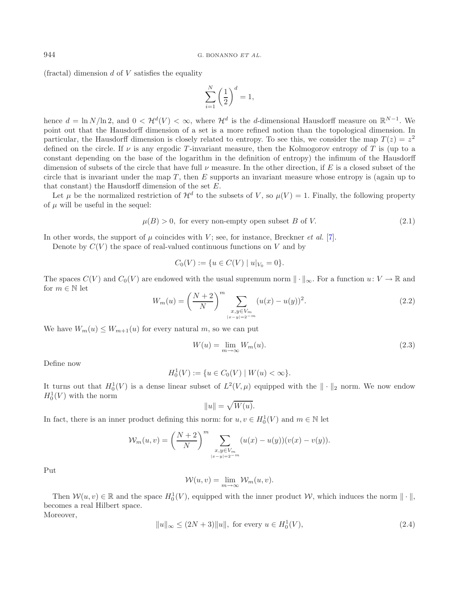<span id="page-3-3"></span>(fractal) dimension  $d$  of  $V$  satisfies the equality

$$
\sum_{i=1}^{N} \left(\frac{1}{2}\right)^d = 1,
$$

hence  $d = \ln N / \ln 2$ , and  $0 < H^d(V) < \infty$ , where  $\mathcal{H}^d$  is the d-dimensional Hausdorff measure on  $\mathbb{R}^{N-1}$ . We point out that the Hausdorff dimension of a set is a more refined notion than the topological dimension. In particular, the Hausdorff dimension is closely related to entropy. To see this, we consider the map  $T(z) = z^2$ defined on the circle. If  $\nu$  is any ergodic T-invariant measure, then the Kolmogorov entropy of T is (up to a constant depending on the base of the logarithm in the definition of entropy) the infimum of the Hausdorff dimension of subsets of the circle that have full  $\nu$  measure. In the other direction, if E is a closed subset of the circle that is invariant under the map  $T$ , then  $E$  supports an invariant measure whose entropy is (again up to that constant) the Hausdorff dimension of the set E.

<span id="page-3-1"></span>Let  $\mu$  be the normalized restriction of  $\mathcal{H}^d$  to the subsets of V, so  $\mu(V) = 1$ . Finally, the following property of  $\mu$  will be useful in the sequel:

$$
\mu(B) > 0, \text{ for every non-empty open subset } B \text{ of } V. \tag{2.1}
$$

In other words, the support of  $\mu$  coincides with V; see, for instance, Breckner *et al.* [\[7](#page-12-28)].

Denote by  $C(V)$  the space of real-valued continuous functions on V and by

<span id="page-3-2"></span>
$$
C_0(V) := \{ u \in C(V) \mid u|_{V_0} = 0 \}.
$$

The spaces  $C(V)$  and  $C_0(V)$  are endowed with the usual supremum norm  $\|\cdot\|_{\infty}$ . For a function  $u: V \to \mathbb{R}$  and for  $m \in \mathbb{N}$  let

$$
W_m(u) = \left(\frac{N+2}{N}\right)^m \sum_{\substack{x,y \in V_m \\ |x-y| = 2^{-m}}} (u(x) - u(y))^2.
$$
 (2.2)

We have  $W_m(u) \leq W_{m+1}(u)$  for every natural m, so we can put

$$
W(u) = \lim_{m \to \infty} W_m(u). \tag{2.3}
$$

Define now

$$
H_0^1(V) := \{ u \in C_0(V) \mid W(u) < \infty \}.
$$

<span id="page-3-0"></span>It turns out that  $H_0^1(V)$  is a dense linear subset of  $L^2(V,\mu)$  equipped with the  $\|\cdot\|_2$  norm. We now endow  $H_0^1(V)$  with the norm

$$
||u|| = \sqrt{W(u)}.
$$

In fact, there is an inner product defining this norm: for  $u, v \in H_0^1(V)$  and  $m \in \mathbb{N}$  let

$$
\mathcal{W}_m(u,v) = \left(\frac{N+2}{N}\right)^m \sum_{\substack{x,y \in V_m \\ |x-y| = 2^{-m}}} (u(x) - u(y))(v(x) - v(y)).
$$

Put

$$
W(u, v) = \lim_{m \to \infty} W_m(u, v).
$$

Then  $W(u, v) \in \mathbb{R}$  and the space  $H_0^1(V)$ , equipped with the inner product W, which induces the norm  $\|\cdot\|$ , becomes a real Hilbert space.

Moreover,

$$
||u||_{\infty} \le (2N+3)||u||, \text{ for every } u \in H_0^1(V), \tag{2.4}
$$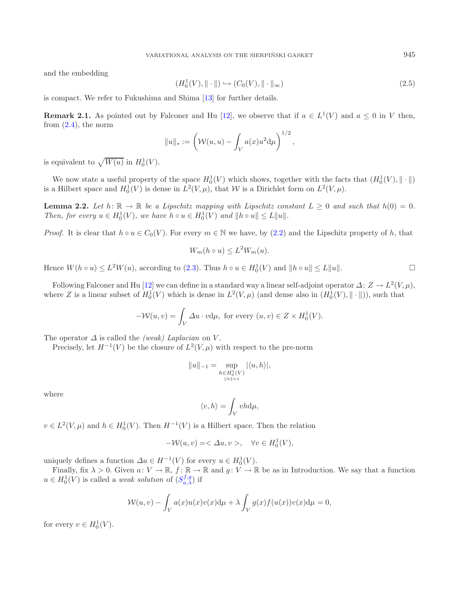<span id="page-4-1"></span>and the embedding

$$
(H_0^1(V), \|\cdot\|) \hookrightarrow (C_0(V), \|\cdot\|_{\infty})
$$
\n
$$
(2.5)
$$

<span id="page-4-2"></span>is compact. We refer to Fukushima and Shima [\[13](#page-12-31)] for further details.

**Remark 2.1.** As pointed out by Falconer and Hu [\[12\]](#page-12-14), we observe that if  $a \in L^1(V)$  and  $a \le 0$  in V then, from  $(2.4)$ , the norm

$$
||u||_* := \left(W(u, u) - \int_V a(x)u^2 d\mu\right)^{1/2},
$$

is equivalent to  $\sqrt{W(u)}$  in  $H_0^1(V)$ .

<span id="page-4-0"></span>We now state a useful property of the space  $H_0^1(V)$  which shows, together with the facts that  $(H_0^1(V), \|\cdot\|)$ is a Hilbert space and  $H_0^1(V)$  is dense in  $L^2(V,\mu)$ , that W is a Dirichlet form on  $L^2(V,\mu)$ .

**Lemma 2.2.** Let  $h: \mathbb{R} \to \mathbb{R}$  be a Lipschitz mapping with Lipschitz constant  $L \geq 0$  and such that  $h(0) = 0$ . *Then, for every*  $u \in H_0^1(V)$ *, we have*  $h \circ u \in H_0^1(V)$  *and*  $||h \circ u|| \le L||u||$ *.* 

*Proof.* It is clear that  $h \circ u \in C_0(V)$ . For every  $m \in \mathbb{N}$  we have, by [\(2.2\)](#page-3-1) and the Lipschitz property of h, that

$$
W_m(h \circ u) \le L^2 W_m(u).
$$

Hence  $W(h \circ u) \leq L^2 W(u)$ , according to [\(2.3\)](#page-3-2). Thus  $h \circ u \in H_0^1(V)$  and  $||h \circ u|| \leq L||u||$ .  $\Box$ 

Following Falconer and Hu [\[12](#page-12-14)] we can define in a standard way a linear self-adjoint operator  $\Delta: Z \to L^2(V,\mu)$ , where Z is a linear subset of  $H_0^1(V)$  which is dense in  $L^2(V,\mu)$  (and dense also in  $(H_0^1(V),\|\cdot\|)$ ), such that

$$
-\mathcal{W}(u,v) = \int_V \Delta u \cdot v d\mu, \text{ for every } (u,v) \in Z \times H_0^1(V).
$$

The operator  $\Delta$  is called the *(weak) Laplacian* on V.

Precisely, let  $H^{-1}(V)$  be the closure of  $L^2(V,\mu)$  with respect to the pre-norm

$$
||u||_{-1} = \sup_{\substack{h \in H_0^1(V) \\ ||h|| = 1}} |\langle u, h \rangle|,
$$

where

$$
\langle v, h \rangle = \int_V v h \mathrm{d}\mu,
$$

 $v \in L^2(V, \mu)$  and  $h \in H_0^1(V)$ . Then  $H^{-1}(V)$  is a Hilbert space. Then the relation

$$
-\mathcal{W}(u,v) = \langle \Delta u, v \rangle, \quad \forall v \in H_0^1(V),
$$

uniquely defines a function  $\Delta u \in H^{-1}(V)$  for every  $u \in H_0^1(V)$ .

Finally, fix  $\lambda > 0$ . Given  $a: V \to \mathbb{R}$ ,  $f: \mathbb{R} \to \mathbb{R}$  and  $g: V \to \mathbb{R}$  be as in Introduction. We say that a function  $u \in H_0^1(V)$  is called a *weak solution* of  $(S_{a,\lambda}^{f,g})$  if

$$
\mathcal{W}(u,v) - \int_{V} a(x)u(x)v(x) \mathrm{d}\mu + \lambda \int_{V} g(x)f(u(x))v(x) \mathrm{d}\mu = 0,
$$

for every  $v \in H_0^1(V)$ .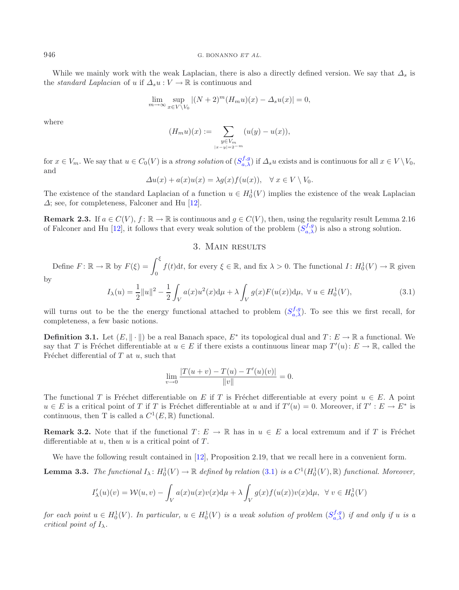While we mainly work with the weak Laplacian, there is also a directly defined version. We say that  $\Delta_s$  is the *standard Laplacian* of u if  $\Delta_s u : V \to \mathbb{R}$  is continuous and

$$
\lim_{m \to \infty} \sup_{x \in V \setminus V_0} |(N+2)^m (H_m u)(x) - \Delta_s u(x)| = 0,
$$

where

$$
(H_m u)(x) := \sum_{\substack{y \in V_m \\ |x - y| = 2^{-m}}} (u(y) - u(x)),
$$

<span id="page-5-0"></span>for  $x \in V_m$ . We say that  $u \in C_0(V)$  is a *strong solution* of  $(S_{a,\lambda}^{f,g})$  if  $\Delta_s u$  exists and is continuous for all  $x \in V \setminus V_0$ , and

$$
\Delta u(x) + a(x)u(x) = \lambda g(x)f(u(x)), \quad \forall x \in V \setminus V_0.
$$

<span id="page-5-2"></span>The existence of the standard Laplacian of a function  $u \in H_0^1(V)$  implies the existence of the weak Laplacian  $\Delta$ ; see, for completeness, Falconer and Hu [\[12](#page-12-14)].

**Remark 2.3.** If  $a \in C(V)$ ,  $f : \mathbb{R} \to \mathbb{R}$  is continuous and  $g \in C(V)$ , then, using the regularity result Lemma 2.16 of Falconer and Hu [\[12\]](#page-12-14), it follows that every weak solution of the problem  $(S_{a,\lambda}^{f,g})$  is also a strong solution.

# <span id="page-5-1"></span>3. Main results

Define  $F: \mathbb{R} \to \mathbb{R}$  by  $F(\xi) = \int^{\xi}$  $\theta$  $f(t)dt$ , for every  $\xi \in \mathbb{R}$ , and fix  $\lambda > 0$ . The functional  $I: H_0^1(V) \to \mathbb{R}$  given

by

$$
I_{\lambda}(u) = \frac{1}{2}||u||^2 - \frac{1}{2}\int_{V} a(x)u^2(x) d\mu + \lambda \int_{V} g(x)F(u(x))d\mu, \ \forall \ u \in H_0^1(V), \tag{3.1}
$$

will turns out to be the the energy functional attached to problem  $(S_{a,\lambda}^{f,g})$ . To see this we first recall, for completeness, a few basic notions.

**Definition 3.1.** Let  $(E, \|\cdot\|)$  be a real Banach space,  $E^*$  its topological dual and  $T: E \to \mathbb{R}$  a functional. We say that T is Fréchet differentiable at  $u \in E$  if there exists a continuous linear map  $T'(u): E \to \mathbb{R}$ , called the Fréchet differential of  $T$  at  $u$ , such that

$$
\lim_{v \to 0} \frac{|T(u+v) - T(u) - T'(u)(v)|}{\|v\|} = 0.
$$

The functional T is Fréchet differentiable on E if T is Fréchet differentiable at every point  $u \in E$ . A point  $u \in E$  is a critical point of T if T is Fréchet differentiable at u and if  $T'(u) = 0$ . Moreover, if  $T' : E \to E^*$  is continuous, then T is called a  $C^1(E, \mathbb{R})$  functional.

**Remark 3.2.** Note that if the functional  $T: E \to \mathbb{R}$  has in  $u \in E$  a local extremum and if T is Fréchet differentiable at  $u$ , then  $u$  is a critical point of  $T$ .

We have the following result contained in [\[12\]](#page-12-14), Proposition 2.19, that we recall here in a convenient form.

**Lemma 3.3.** *The functional*  $I_{\lambda}$ :  $H_0^1(V) \to \mathbb{R}$  *defined by relation* [\(3.1\)](#page-5-0) *is a*  $C^1(H_0^1(V), \mathbb{R})$  *functional. Moreover,* 

$$
I'_{\lambda}(u)(v) = \mathcal{W}(u, v) - \int_{V} a(x)u(x)v(x) d\mu + \lambda \int_{V} g(x)f(u(x))v(x) d\mu, \ \forall v \in H_0^1(V)
$$

 $for$  each point  $u \in H_0^1(V)$ . In particular,  $u \in H_0^1(V)$  is a weak solution of problem  $(S_{a,\lambda}^{f,g})$  if and only if  $u$  is a *critical point of*  $I_{\lambda}$ *.*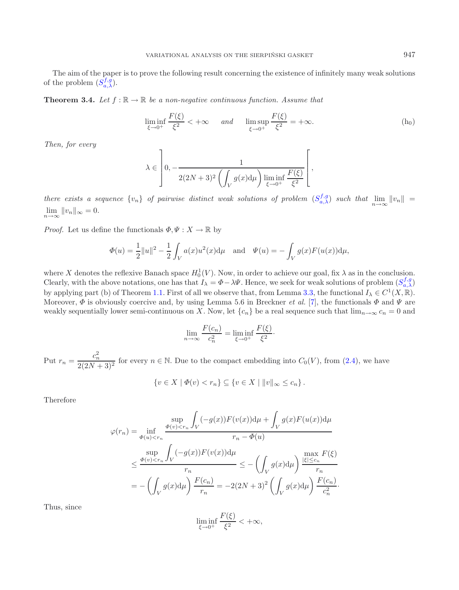<span id="page-6-0"></span>The aim of the paper is to prove the following result concerning the existence of infinitely many weak solutions of the problem  $(S_{a,\lambda}^{f,g})$ .

**Theorem 3.4.** Let  $f : \mathbb{R} \to \mathbb{R}$  be a non-negative continuous function. Assume that

$$
\liminf_{\xi \to 0^+} \frac{F(\xi)}{\xi^2} < +\infty \qquad \text{and} \qquad \limsup_{\xi \to 0^+} \frac{F(\xi)}{\xi^2} = +\infty. \tag{h_0}
$$

*Then, for every*

$$
\lambda \in \left]0, -\frac{1}{2(2N+3)^2 \left(\int_V g(x) d\mu\right) \liminf_{\xi \to 0^+} \frac{F(\xi)}{\xi^2}}\right],
$$

*there exists a sequence*  $\{v_n\}$  *of pairwise distinct weak solutions of problem*  $(S_{a,\lambda}^{f,g})$  *such that*  $\lim_{n\to\infty} ||v_n|| =$  $\lim_{n\to\infty}||v_n||_{\infty}=0.$ 

*Proof.* Let us define the functionals  $\Phi, \Psi : X \to \mathbb{R}$  by

$$
\Phi(u) = \frac{1}{2} ||u||^2 - \frac{1}{2} \int_V a(x) u^2(x) d\mu \text{ and } \Psi(u) = - \int_V g(x) F(u(x)) d\mu,
$$

where X denotes the reflexive Banach space  $H_0^1(V)$ . Now, in order to achieve our goal, fix  $\lambda$  as in the conclusion. Clearly, with the above notations, one has that  $I_\lambda = \Phi - \lambda \Psi$ . Hence, we seek for weak solutions of problem  $(S_{a,\lambda}^{f,g})$ by applying part (b) of Theorem [1.1.](#page-1-0) First of all we observe that, from Lemma [3.3,](#page-5-1) the functional  $I_{\lambda} \in C^{1}(X,\mathbb{R})$ . Moreover,  $\Phi$  is obviously coercive and, by using Lemma 5.6 in Breckner *et al.* [\[7\]](#page-12-28), the functionals  $\Phi$  and  $\Psi$  are weakly sequentially lower semi-continuous on X. Now, let  $\{c_n\}$  be a real sequence such that  $\lim_{n\to\infty} c_n = 0$  and

$$
\lim_{n \to \infty} \frac{F(c_n)}{c_n^2} = \liminf_{\xi \to 0^+} \frac{F(\xi)}{\xi^2}.
$$

Put  $r_n = \frac{c_n^2}{2(2N+3)^2}$  for every  $n \in \mathbb{N}$ . Due to the compact embedding into  $C_0(V)$ , from [\(2.4\)](#page-3-0), we have

$$
\{v \in X \mid \Phi(v) < r_n\} \subseteq \{v \in X \mid ||v||_{\infty} \leq c_n\}.
$$

Therefore

$$
\varphi(r_n) = \inf_{\Phi(u) < r_n} \frac{\sup_{\Phi(v) < r_n} \int_V (-g(x)) F(v(x)) \, d\mu + \int_V g(x) F(u(x)) \, d\mu}{r_n - \Phi(u)}
$$
\n
$$
\leq \frac{\sup_{\Phi(v) < r_n} \int_V (-g(x)) F(v(x)) \, d\mu}{r_n} \leq -\left( \int_V g(x) \, d\mu \right) \frac{\max_{|\xi| \leq c_n} F(\xi)}{r_n}
$$
\n
$$
= -\left( \int_V g(x) \, d\mu \right) \frac{F(c_n)}{r_n} = -2(2N+3)^2 \left( \int_V g(x) \, d\mu \right) \frac{F(c_n)}{c_n^2}.
$$

Thus, since

$$
\liminf_{\xi \to 0^+} \frac{F(\xi)}{\xi^2} < +\infty,
$$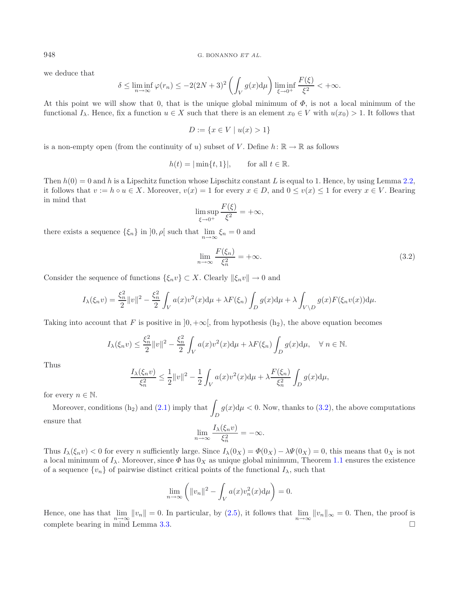we deduce that

$$
\delta \le \liminf_{n \to \infty} \varphi(r_n) \le -2(2N+3)^2 \left( \int_V g(x) d\mu \right) \liminf_{\xi \to 0^+} \frac{F(\xi)}{\xi^2} < +\infty.
$$

At this point we will show that 0, that is the unique global minimum of  $\Phi$ , is not a local minimum of the functional  $I_\lambda$ . Hence, fix a function  $u \in X$  such that there is an element  $x_0 \in V$  with  $u(x_0) > 1$ . It follows that

<span id="page-7-0"></span>
$$
D := \{ x \in V \mid u(x) > 1 \}
$$

is a non-empty open (from the continuity of u) subset of V. Define  $h: \mathbb{R} \to \mathbb{R}$  as follows

$$
h(t) = |\min\{t, 1\}|, \quad \text{for all } t \in \mathbb{R}.
$$

Then  $h(0) = 0$  and h is a Lipschitz function whose Lipschitz constant L is equal to 1. Hence, by using Lemma [2.2,](#page-4-0) it follows that  $v := h \circ u \in X$ . Moreover,  $v(x) = 1$  for every  $x \in D$ , and  $0 \le v(x) \le 1$  for every  $x \in V$ . Bearing in mind that

$$
\limsup_{\xi \to 0^+} \frac{F(\xi)}{\xi^2} = +\infty,
$$

there exists a sequence  $\{\xi_n\}$  in  $]0, \rho[$  such that  $\lim_{n\to\infty}\xi_n = 0$  and

$$
\lim_{n \to \infty} \frac{F(\xi_n)}{\xi_n^2} = +\infty.
$$
\n(3.2)

Consider the sequence of functions  $\{\xi_n v\} \subset X$ . Clearly  $\|\xi_n v\| \to 0$  and

$$
I_{\lambda}(\xi_n v) = \frac{\xi_n^2}{2} ||v||^2 - \frac{\xi_n^2}{2} \int_V a(x) v^2(x) d\mu + \lambda F(\xi_n) \int_D g(x) d\mu + \lambda \int_{V \backslash D} g(x) F(\xi_n v(x)) d\mu.
$$

Taking into account that F is positive in  $]0, +\infty[$ , from hypothesis  $(h_2)$ , the above equation becomes

$$
I_{\lambda}(\xi_n v) \le \frac{\xi_n^2}{2} ||v||^2 - \frac{\xi_n^2}{2} \int_V a(x) v^2(x) d\mu + \lambda F(\xi_n) \int_D g(x) d\mu, \quad \forall n \in \mathbb{N}.
$$

Thus

$$
\frac{I_{\lambda}(\xi_n v)}{\xi_n^2} \le \frac{1}{2} ||v||^2 - \frac{1}{2} \int_V a(x) v^2(x) d\mu + \lambda \frac{F(\xi_n)}{\xi_n^2} \int_D g(x) d\mu,
$$

for every  $n \in \mathbb{N}$ .

Moreover, conditions (h<sub>2</sub>) and [\(2.1\)](#page-3-3) imply that  $\int_D$  $g(x) \, \mathrm{d}\mu < 0$ . Now, thanks to  $(3.2)$ , the above computations ensure that

$$
\lim_{n \to \infty} \frac{I_{\lambda}(\xi_n v)}{\xi_n^2} = -\infty.
$$

Thus  $I_{\lambda}(\xi_n v) < 0$  for every n sufficiently large. Since  $I_{\lambda}(0_X) = \Phi(0_X) - \lambda \Psi(0_X) = 0$ , this means that  $0_X$  is not a local minimum of  $I_\lambda$ . Moreover, since  $\Phi$  has  $0_X$  as unique global minimum, Theorem [1.1](#page-1-0) ensures the existence of a sequence  $\{v_n\}$  of pairwise distinct critical points of the functional  $I_\lambda$ , such that

$$
\lim_{n \to \infty} \left( \|v_n\|^2 - \int_V a(x) v_n^2(x) \mathrm{d}\mu \right) = 0.
$$

Hence, one has that  $\lim_{n \to \infty} ||v_n|| = 0$ . In particular, by [\(2.5\)](#page-4-1), it follows that  $\lim_{n \to \infty} ||v_n||_{\infty} = 0$ . Then, the proof is complete bearing in mind Lemma [3.3.](#page-5-1)  $\square$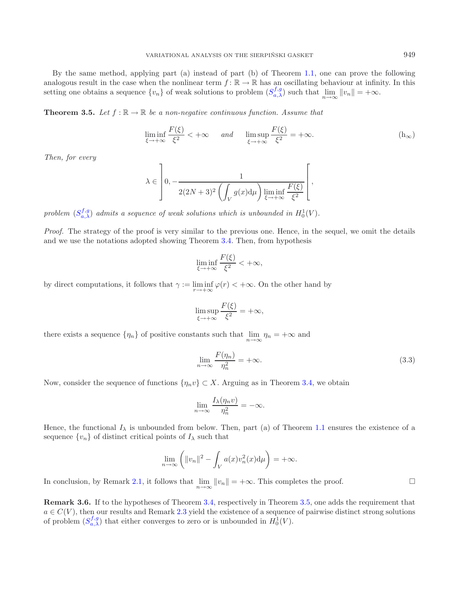By the same method, applying part (a) instead of part (b) of Theorem [1.1,](#page-1-0) one can prove the following analogous result in the case when the nonlinear term  $f: \mathbb{R} \to \mathbb{R}$  has an oscillating behaviour at infinity. In this setting one obtains a sequence  $\{v_n\}$  of weak solutions to problem  $(S_{a,\lambda}^{f,g})$  such that  $\lim_{n\to\infty} ||v_n|| = +\infty$ .

<span id="page-8-0"></span>**Theorem 3.5.** Let  $f : \mathbb{R} \to \mathbb{R}$  be a non-negative continuous function. Assume that

$$
\liminf_{\xi \to +\infty} \frac{F(\xi)}{\xi^2} < +\infty \qquad \text{and} \qquad \limsup_{\xi \to +\infty} \frac{F(\xi)}{\xi^2} = +\infty. \tag{h_\infty}
$$

*Then, for every*

$$
\lambda \in \left]0, -\frac{1}{2(2N+3)^2 \left(\int_V g(x) \mathrm{d}\mu\right) \liminf_{\xi \to +\infty} \frac{F(\xi)}{\xi^2}} \right[,
$$

problem  $(S_{a,\lambda}^{f,g})$  *admits a sequence of weak solutions which is unbounded in*  $H_0^1(V)$ *.* 

*Proof.* The strategy of the proof is very similar to the previous one. Hence, in the sequel, we omit the details and we use the notations adopted showing Theorem [3.4.](#page-6-0) Then, from hypothesis

<span id="page-8-1"></span>
$$
\liminf_{\xi \to +\infty} \frac{F(\xi)}{\xi^2} < +\infty,
$$

by direct computations, it follows that  $\gamma := \liminf_{r \to +\infty} \varphi(r) < +\infty$ . On the other hand by

$$
\limsup_{\xi \to +\infty} \frac{F(\xi)}{\xi^2} = +\infty,
$$

there exists a sequence  $\{\eta_n\}$  of positive constants such that  $\lim_{n\to\infty}\eta_n=+\infty$  and

$$
\lim_{n \to \infty} \frac{F(\eta_n)}{\eta_n^2} = +\infty.
$$
\n(3.3)

Now, consider the sequence of functions  $\{\eta_n v\} \subset X$ . Arguing as in Theorem [3.4,](#page-6-0) we obtain

$$
\lim_{n \to \infty} \frac{I_{\lambda}(\eta_n v)}{\eta_n^2} = -\infty.
$$

Hence, the functional  $I_\lambda$  is unbounded from below. Then, part (a) of Theorem [1.1](#page-1-0) ensures the existence of a sequence  $\{v_n\}$  of distinct critical points of  $I_\lambda$  such that

$$
\lim_{n \to \infty} \left( \|v_n\|^2 - \int_V a(x) v_n^2(x) \mathrm{d}\mu \right) = +\infty.
$$

In conclusion, by Remark [2.1,](#page-4-2) it follows that  $\lim_{n\to\infty} ||v_n|| = +\infty$ . This completes the proof.  $\Box$ 

<span id="page-8-2"></span>**Remark 3.6.** If to the hypotheses of Theorem [3.4,](#page-6-0) respectively in Theorem [3.5,](#page-8-0) one adds the requirement that  $a \in C(V)$ , then our results and Remark [2.3](#page-5-2) yield the existence of a sequence of pairwise distinct strong solutions of problem  $(S_{a,\lambda}^{f,g})$  that either converges to zero or is unbounded in  $H_0^1(V)$ .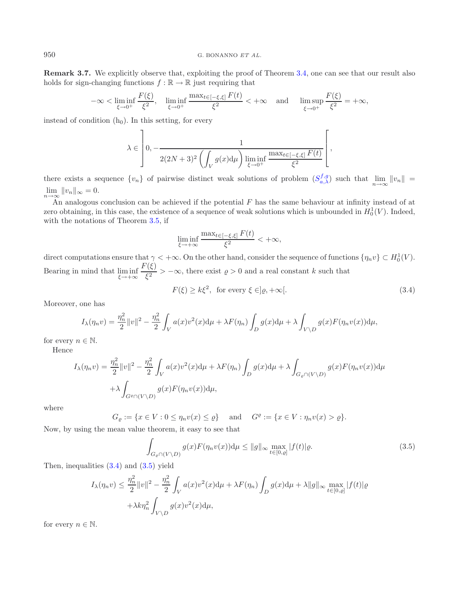#### 950 G. BONANNO *ET AL.*

**Remark 3.7.** We explicitly observe that, exploiting the proof of Theorem [3.4,](#page-6-0) one can see that our result also holds for sign-changing functions  $f : \mathbb{R} \to \mathbb{R}$  just requiring that

$$
-\infty < \liminf_{\xi \to 0^+} \frac{F(\xi)}{\xi^2}, \quad \liminf_{\xi \to 0^+} \frac{\max_{t \in [-\xi, \xi]} F(t)}{\xi^2} < +\infty \quad \text{and} \quad \limsup_{\xi \to 0^+} \frac{F(\xi)}{\xi^2} = +\infty,
$$

instead of condition  $(h_0)$ . In this setting, for every

$$
\lambda \in \left] 0, -\frac{1}{2(2N+3)^2 \left( \int_V g(x) \mathrm{d}\mu \right) \liminf_{\xi \to 0^+} \frac{\max_{t \in [-\xi, \xi]} F(t)}{\xi^2}} \right[ ,
$$

there exists a sequence  $\{v_n\}$  of pairwise distinct weak solutions of problem  $(S_{a,\lambda}^{f,g})$  such that  $\lim_{n\to\infty} ||v_n|| =$  $\lim_{n\to\infty}||v_n||_{\infty}=0.$ 

An analogous conclusion can be achieved if the potential  $F$  has the same behaviour at infinity instead of at zero obtaining, in this case, the existence of a sequence of weak solutions which is unbounded in  $H_0^1(V)$ . Indeed, with the notations of Theorem [3.5,](#page-8-0) if

<span id="page-9-0"></span>
$$
\liminf_{\xi \to +\infty} \frac{\max_{t \in [-\xi, \xi]} F(t)}{\xi^2} < +\infty,
$$

direct computations ensure that  $\gamma < +\infty$ . On the other hand, consider the sequence of functions  $\{\eta_n v\} \subset H_0^1(V)$ . Bearing in mind that  $\liminf_{\xi \to +\infty} \frac{F(\xi)}{\xi^2} > -\infty$ , there exist  $\rho > 0$  and a real constant k such that

<span id="page-9-1"></span>
$$
F(\xi) \ge k\xi^2, \text{ for every } \xi \in ]\varrho, +\infty[.
$$
 (3.4)

Moreover, one has

$$
I_{\lambda}(\eta_n v) = \frac{\eta_n^2}{2} ||v||^2 - \frac{\eta_n^2}{2} \int_V a(x) v^2(x) d\mu + \lambda F(\eta_n) \int_D g(x) d\mu + \lambda \int_{V \setminus D} g(x) F(\eta_n v(x)) d\mu,
$$

for every  $n \in \mathbb{N}$ .

Hence

$$
I_{\lambda}(\eta_n v) = \frac{\eta_n^2}{2} ||v||^2 - \frac{\eta_n^2}{2} \int_V a(x) v^2(x) d\mu + \lambda F(\eta_n) \int_D g(x) d\mu + \lambda \int_{G_\varrho \cap (V \setminus D)} g(x) F(\eta_n v(x)) d\mu
$$
  
+  $\lambda \int_{G^\varrho \cap (V \setminus D)} g(x) F(\eta_n v(x)) d\mu$ ,

where

$$
G_{\varrho} := \{ x \in V : 0 \le \eta_n v(x) \le \varrho \} \quad \text{ and } \quad G^{\varrho} := \{ x \in V : \eta_n v(x) > \varrho \}.
$$

Now, by using the mean value theorem, it easy to see that

$$
\int_{G_{\varrho} \cap (V \setminus D)} g(x) F(\eta_n v(x)) \mathrm{d}\mu \le ||g||_{\infty} \max_{t \in [0,\varrho]} |f(t)| \varrho. \tag{3.5}
$$

Then, inequalities [\(3.4\)](#page-9-0) and [\(3.5\)](#page-9-1) yield

$$
I_{\lambda}(\eta_n v) \leq \frac{\eta_n^2}{2} ||v||^2 - \frac{\eta_n^2}{2} \int_V a(x)v^2(x) d\mu + \lambda F(\eta_n) \int_D g(x) d\mu + \lambda ||g||_{\infty} \max_{t \in [0,\varrho]} |f(t)| \varrho
$$
  
+  $\lambda k \eta_n^2 \int_{V \setminus D} g(x)v^2(x) d\mu$ ,

for every  $n \in \mathbb{N}$ .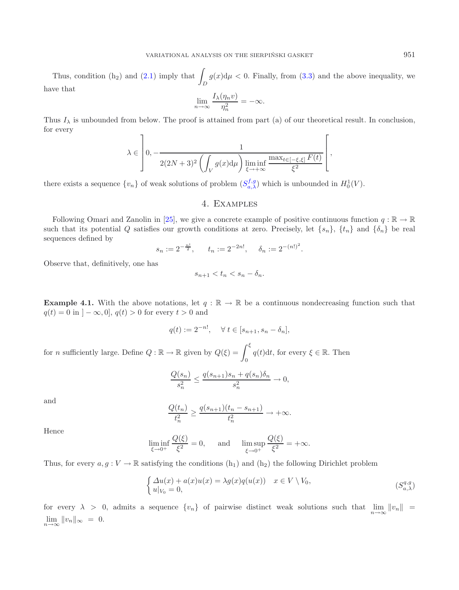Thus, condition (h<sub>2</sub>) and [\(2.1\)](#page-3-3) imply that  $\int_D$  $g(x) \, \mathrm{d}\mu < 0$ . Finally, from  $(3.3)$  and the above inequality, we have that

$$
\lim_{n \to \infty} \frac{I_{\lambda}(\eta_n v)}{\eta_n^2} = -\infty.
$$

Thus  $I_\lambda$  is unbounded from below. The proof is attained from part (a) of our theoretical result. In conclusion, for every  $\mathsf{r}$ 

$$
\lambda \in \left] 0, -\frac{1}{2(2N+3)^2 \left( \int_V g(x) \mathrm{d}\mu \right) \liminf_{\xi \to +\infty} \frac{\max_{t \in [-\xi, \xi]} F(t)}{\xi^2}} \right],
$$

there exists a sequence  $\{v_n\}$  of weak solutions of problem  $(S_{a,\lambda}^{f,g})$  which is unbounded in  $H_0^1(V)$ .

## 4. Examples

Following Omari and Zanolin in [\[25\]](#page-12-25), we give a concrete example of positive continuous function  $q : \mathbb{R} \to \mathbb{R}$ such that its potential Q satisfies our growth conditions at zero. Precisely, let  $\{s_n\}$ ,  $\{t_n\}$  and  $\{\delta_n\}$  be real sequences defined by

$$
s_n := 2^{-\frac{n!}{2}}, \quad t_n := 2^{-2n!}, \quad \delta_n := 2^{-(n!)^2}.
$$

Observe that, definitively, one has

$$
s_{n+1} < t_n < s_n - \delta_n.
$$

**Example 4.1.** With the above notations, let  $q : \mathbb{R} \to \mathbb{R}$  be a continuous nondecreasing function such that  $q(t) = 0$  in  $] - \infty, 0]$ ,  $q(t) > 0$  for every  $t > 0$  and

$$
q(t) := 2^{-n!}, \quad \forall \ t \in [s_{n+1}, s_n - \delta_n],
$$

for *n* sufficiently large. Define  $Q : \mathbb{R} \to \mathbb{R}$  given by  $Q(\xi) = \int^{\xi}$ 0  $q(t)dt$ , for every  $\xi \in \mathbb{R}$ . Then

$$
\frac{Q(s_n)}{s_n^2} \le \frac{q(s_{n+1})s_n + q(s_n)\delta_n}{s_n^2} \to 0,
$$

and

$$
\frac{Q(t_n)}{t_n^2} \ge \frac{q(s_{n+1})(t_n - s_{n+1})}{t_n^2} \to +\infty.
$$

Hence

$$
\liminf_{\xi \to 0^+} \frac{Q(\xi)}{\xi^2} = 0, \quad \text{and} \quad \limsup_{\xi \to 0^+} \frac{Q(\xi)}{\xi^2} = +\infty.
$$

Thus, for every  $a, g: V \to \mathbb{R}$  satisfying the conditions  $(h_1)$  and  $(h_2)$  the following Dirichlet problem

$$
\begin{cases}\n\Delta u(x) + a(x)u(x) = \lambda g(x)q(u(x)) & x \in V \setminus V_0, \\
u|_{V_0} = 0,\n\end{cases} \tag{S_{a,\lambda}^{q,g}}
$$

<span id="page-10-0"></span>for every  $\lambda > 0$ , admits a sequence  $\{v_n\}$  of pairwise distinct weak solutions such that  $\lim_{n\to\infty} ||v_n|| =$  $\lim_{n\to\infty}||v_n||_{\infty} = 0.$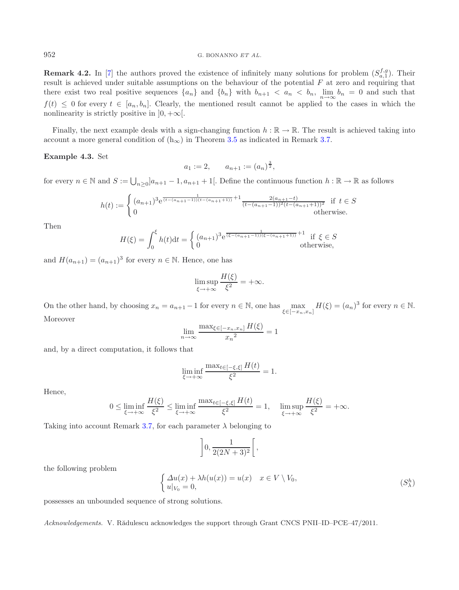**Remark 4.2.** In [\[7](#page-12-28)] the authors proved the existence of infinitely many solutions for problem  $(S_{a,1}^{f,g})$ . Their result is achieved under suitable assumptions on the behaviour of the potential  $F$  at zero and requiring that there exist two real positive sequences  $\{a_n\}$  and  $\{b_n\}$  with  $b_{n+1} < a_n < b_n$ ,  $\lim_{n \to \infty} b_n = 0$  and such that  $f(t) \leq 0$  for every  $t \in [a_n, b_n]$ . Clearly, the mentioned result cannot be applied to the cases in which the nonlinearity is strictly positive in  $]0, +\infty[$ .

Finally, the next example deals with a sign-changing function  $h : \mathbb{R} \to \mathbb{R}$ . The result is achieved taking into account a more general condition of  $(h_{\infty})$  in Theorem [3.5](#page-8-0) as indicated in Remark [3.7.](#page-8-2)

### **Example 4.3.** Set

$$
a_1 := 2,
$$
  $a_{n+1} := (a_n)^{\frac{3}{2}},$ 

for every  $n \in \mathbb{N}$  and  $S := \bigcup_{n \geq 0} ]a_{n+1} - 1, a_{n+1} + 1[$ . Define the continuous function  $h : \mathbb{R} \to \mathbb{R}$  as follows

$$
h(t) := \begin{cases} (a_{n+1})^3 e^{\frac{1}{(t-(a_{n+1}-1))(t-(a_{n+1}+1))}+1} \frac{2(a_{n+1}-t)}{(t-(a_{n+1}-1))^2(t-(a_{n+1}+1))^2} & \text{if } t \in S \\ 0 & \text{otherwise.} \end{cases}
$$

Then

$$
H(\xi) = \int_0^{\xi} h(t)dt = \begin{cases} (a_{n+1})^3 e^{\frac{1}{(\xi - (a_{n+1} - 1))(\xi - (a_{n+1} + 1))} + 1} & \text{if } \xi \in S \\ 0 & \text{otherwise,} \end{cases}
$$

and  $H(a_{n+1})=(a_{n+1})^3$  for every  $n \in \mathbb{N}$ . Hence, one has

$$
\limsup_{\xi \to +\infty} \frac{H(\xi)}{\xi^2} = +\infty.
$$

On the other hand, by choosing  $x_n = a_{n+1} - 1$  for every  $n \in \mathbb{N}$ , one has  $\max_{\xi \in [-x_n, x_n]} H(\xi) = (a_n)^3$  for every  $n \in \mathbb{N}$ . Moreover

$$
\lim_{n \to \infty} \frac{\max_{\xi \in [-x_n, x_n]} H(\xi)}{x_n^2} = 1
$$

and, by a direct computation, it follows that

$$
\liminf_{\xi \to +\infty} \frac{\max_{t \in [-\xi, \xi]} H(t)}{\xi^2} = 1.
$$

Hence,

$$
0 \leq \liminf_{\xi \to +\infty} \frac{H(\xi)}{\xi^2} \leq \liminf_{\xi \to +\infty} \frac{\max_{t \in [-\xi, \xi]} H(t)}{\xi^2} = 1, \quad \limsup_{\xi \to +\infty} \frac{H(\xi)}{\xi^2} = +\infty.
$$

Taking into account Remark [3.7,](#page-8-2) for each parameter  $\lambda$  belonging to

$$
\left]0, \frac{1}{2(2N+3)^2}\right[,
$$

the following problem

$$
\begin{cases} \Delta u(x) + \lambda h(u(x)) = u(x) & x \in V \setminus V_0, \\ u|_{V_0} = 0, \end{cases}
$$
 (S<sub>\lambda</sub><sup>h</sup>)

possesses an unbounded sequence of strong solutions.

*Acknowledgements.* V. Rădulescu acknowledges the support through Grant CNCS PNII–ID–PCE–47/2011.